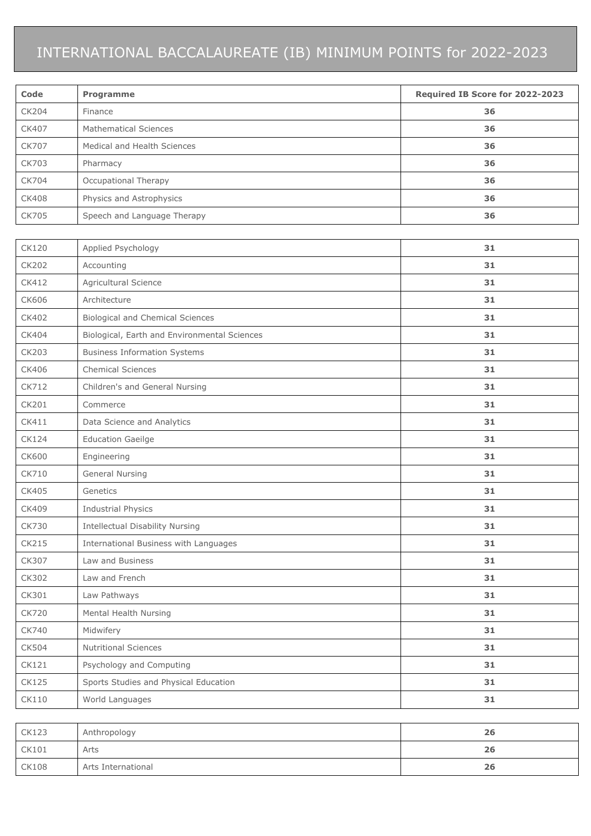## INTERNATIONAL BACCALAUREATE (IB) MINIMUM POINTS for 2022-2023

| Code         | Programme                                    | Required IB Score for 2022-2023 |  |  |
|--------------|----------------------------------------------|---------------------------------|--|--|
| CK204        | Finance                                      | 36                              |  |  |
| CK407        | <b>Mathematical Sciences</b>                 | 36                              |  |  |
| <b>CK707</b> | Medical and Health Sciences                  | 36                              |  |  |
| CK703        | Pharmacy                                     | 36                              |  |  |
| CK704        | Occupational Therapy                         | 36                              |  |  |
| <b>CK408</b> | Physics and Astrophysics                     | 36                              |  |  |
| CK705        | Speech and Language Therapy                  | 36                              |  |  |
|              |                                              |                                 |  |  |
| CK120        | Applied Psychology                           | 31                              |  |  |
| <b>CK202</b> | Accounting                                   | 31                              |  |  |
| CK412        | Agricultural Science                         | 31                              |  |  |
| CK606        | Architecture                                 | 31                              |  |  |
| CK402        | <b>Biological and Chemical Sciences</b>      | 31                              |  |  |
| CK404        | Biological, Earth and Environmental Sciences | 31                              |  |  |
| CK203        | <b>Business Information Systems</b>          | 31                              |  |  |
| CK406        | <b>Chemical Sciences</b>                     | 31                              |  |  |
| CK712        | Children's and General Nursing               | 31                              |  |  |
| CK201        | Commerce                                     | 31                              |  |  |
| CK411        | Data Science and Analytics                   | 31                              |  |  |
| <b>CK124</b> | <b>Education Gaeilge</b>                     | 31                              |  |  |
| CK600        | Engineering                                  | 31                              |  |  |
| CK710        | <b>General Nursing</b>                       | 31                              |  |  |
| CK405        | Genetics                                     | 31                              |  |  |
| CK409        | <b>Industrial Physics</b>                    | 31                              |  |  |
| CK730        | Intellectual Disability Nursing              | 31                              |  |  |
| CK215        | International Business with Languages        | 31                              |  |  |
| CK307        | Law and Business                             | 31                              |  |  |
| CK302        | Law and French                               | 31                              |  |  |
| CK301        | Law Pathways                                 | 31                              |  |  |
| CK720        | Mental Health Nursing                        | 31                              |  |  |
| CK740        | Midwifery                                    | 31                              |  |  |
| CK504        | <b>Nutritional Sciences</b>                  | 31                              |  |  |
| CK121        | Psychology and Computing                     | 31                              |  |  |
| <b>CK125</b> | Sports Studies and Physical Education        | 31                              |  |  |
| CK110        | World Languages                              | 31                              |  |  |
|              |                                              |                                 |  |  |

| <b>CK123</b> | Anthropology       | 26 |
|--------------|--------------------|----|
| <b>CK101</b> | Arts               | 26 |
| <b>CK108</b> | Arts International | 26 |